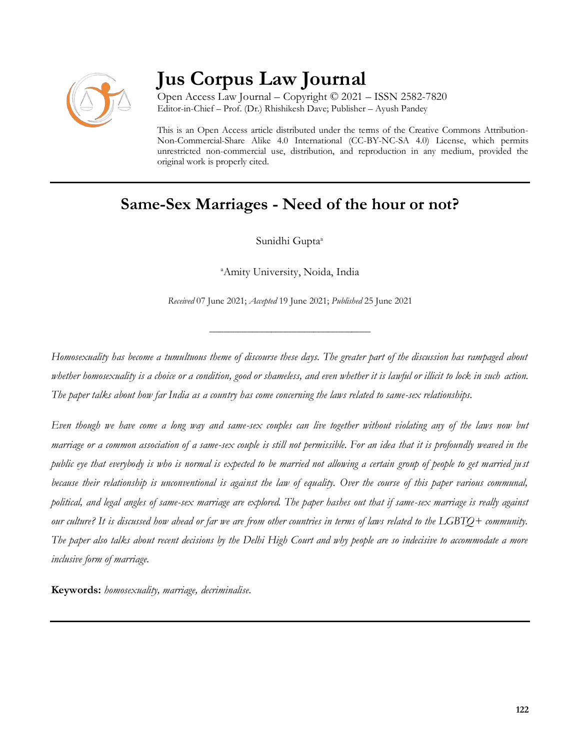

# **Jus Corpus Law Journal**

Open Access Law Journal – Copyright © 2021 – ISSN 2582-7820 Editor-in-Chief – Prof. (Dr.) Rhishikesh Dave; Publisher – Ayush Pandey

This is an Open Access article distributed under the terms of the Creative Commons Attribution-Non-Commercial-Share Alike 4.0 International (CC-BY-NC-SA 4.0) License, which permits unrestricted non-commercial use, distribution, and reproduction in any medium, provided the original work is properly cited.

# **Same-Sex Marriages - Need of the hour or not?**

Sunidhi Gupta<sup>a</sup>

<sup>a</sup>Amity University, Noida, India

*Received* 07 June 2021; *Accepted* 19 June 2021; *Published* 25 June 2021

\_\_\_\_\_\_\_\_\_\_\_\_\_\_\_\_\_\_\_\_\_\_\_\_\_\_\_\_\_\_\_\_\_\_

*Homosexuality has become a tumultuous theme of discourse these days. The greater part of the discussion has rampaged about whether homosexuality is a choice or a condition, good or shameless, and even whether it is lawful or illicit to lock in such action. The paper talks about how far India as a country has come concerning the laws related to same-sex relationships.*

*Even though we have come a long way and same-sex couples can live together without violating any of the laws now but marriage or a common association of a same-sex couple is still not permissible. For an idea that it is profoundly weaved in the public eye that everybody is who is normal is expected to be married not allowing a certain group of people to get married ju st because their relationship is unconventional is against the law of equality. Over the course of this paper various communal, political, and legal angles of same-sex marriage are explored. The paper hashes out that if same-sex marriage is really against our culture? It is discussed how ahead or far we are from other countries in terms of laws related to the LGBTQ+ community. The paper also talks about recent decisions by the Delhi High Court and why people are so indecisive to accommodate a more inclusive form of marriage.*

**Keywords:** *homosexuality, marriage, decriminalise.*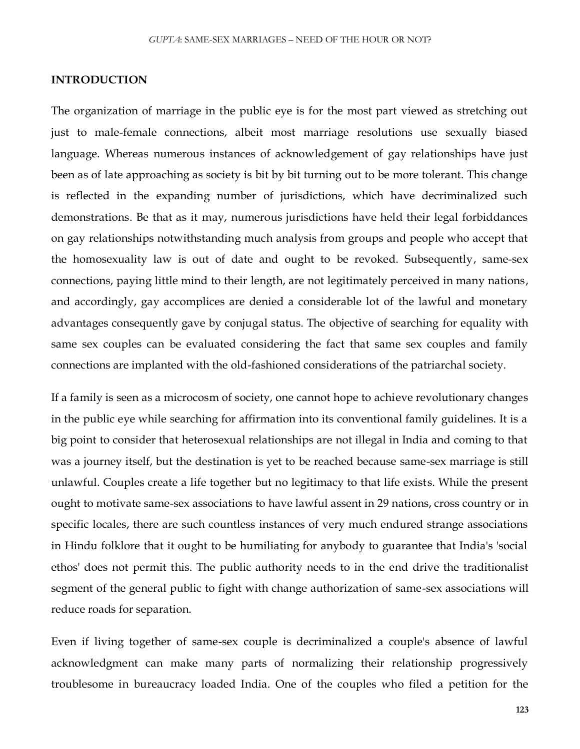#### **INTRODUCTION**

The organization of marriage in the public eye is for the most part viewed as stretching out just to male-female connections, albeit most marriage resolutions use sexually biased language. Whereas numerous instances of acknowledgement of gay relationships have just been as of late approaching as society is bit by bit turning out to be more tolerant. This change is reflected in the expanding number of jurisdictions, which have decriminalized such demonstrations. Be that as it may, numerous jurisdictions have held their legal forbiddances on gay relationships notwithstanding much analysis from groups and people who accept that the homosexuality law is out of date and ought to be revoked. Subsequently, same-sex connections, paying little mind to their length, are not legitimately perceived in many nations, and accordingly, gay accomplices are denied a considerable lot of the lawful and monetary advantages consequently gave by conjugal status. The objective of searching for equality with same sex couples can be evaluated considering the fact that same sex couples and family connections are implanted with the old-fashioned considerations of the patriarchal society.

If a family is seen as a microcosm of society, one cannot hope to achieve revolutionary changes in the public eye while searching for affirmation into its conventional family guidelines. It is a big point to consider that heterosexual relationships are not illegal in India and coming to that was a journey itself, but the destination is yet to be reached because same-sex marriage is still unlawful. Couples create a life together but no legitimacy to that life exists. While the present ought to motivate same-sex associations to have lawful assent in 29 nations, cross country or in specific locales, there are such countless instances of very much endured strange associations in Hindu folklore that it ought to be humiliating for anybody to guarantee that India's 'social ethos' does not permit this. The public authority needs to in the end drive the traditionalist segment of the general public to fight with change authorization of same-sex associations will reduce roads for separation.

Even if living together of same-sex couple is decriminalized a couple's absence of lawful acknowledgment can make many parts of normalizing their relationship progressively troublesome in bureaucracy loaded India. One of the couples who filed a petition for the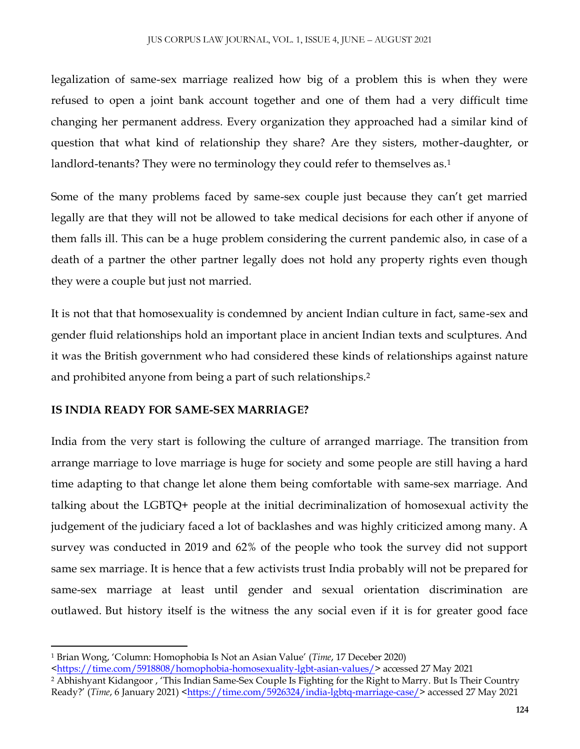legalization of same-sex marriage realized how big of a problem this is when they were refused to open a joint bank account together and one of them had a very difficult time changing her permanent address. Every organization they approached had a similar kind of question that what kind of relationship they share? Are they sisters, mother-daughter, or landlord-tenants? They were no terminology they could refer to themselves as.<sup>1</sup>

Some of the many problems faced by same-sex couple just because they can't get married legally are that they will not be allowed to take medical decisions for each other if anyone of them falls ill. This can be a huge problem considering the current pandemic also, in case of a death of a partner the other partner legally does not hold any property rights even though they were a couple but just not married.

It is not that that homosexuality is condemned by ancient Indian culture in fact, same-sex and gender fluid relationships hold an important place in ancient Indian texts and sculptures. And it was the British government who had considered these kinds of relationships against nature and prohibited anyone from being a part of such relationships. 2

#### **IS INDIA READY FOR SAME-SEX MARRIAGE?**

 $\overline{a}$ 

India from the very start is following the culture of arranged marriage. The transition from arrange marriage to love marriage is huge for society and some people are still having a hard time adapting to that change let alone them being comfortable with same-sex marriage. And talking about the LGBTQ+ people at the initial decriminalization of homosexual activity the judgement of the judiciary faced a lot of backlashes and was highly criticized among many. A survey was conducted in 2019 and 62% of the people who took the survey did not support same sex marriage. It is hence that a few activists trust India probably will not be prepared for same-sex marriage at least until gender and sexual orientation discrimination are outlawed. But history itself is the witness the any social even if it is for greater good face

<sup>1</sup> Brian Wong, 'Column: Homophobia Is Not an Asian Value' (*Time*, 17 Deceber 2020)

[<sup>&</sup>lt;https://time.com/5918808/homophobia-homosexuality-lgbt-asian-values/>](https://time.com/5918808/homophobia-homosexuality-lgbt-asian-values/) accessed 27 May 2021 <sup>2</sup> Abhishyant Kidangoor, 'This Indian Same-Sex Couple Is Fighting for the Right to Marry. But Is Their Country

Ready?' (*Time*, 6 January 2021) [<https://time.com/5926324/india-lgbtq-marriage-case/>](https://time.com/5926324/india-lgbtq-marriage-case/) accessed 27 May 2021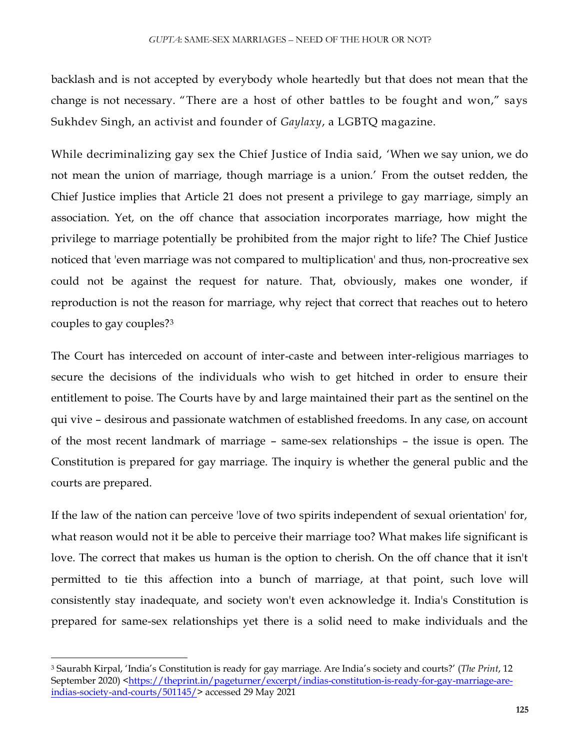backlash and is not accepted by everybody whole heartedly but that does not mean that the change is not necessary. "There are a host of other battles to be fought and won," says Sukhdev Singh, an activist and founder of *Gaylaxy*, a LGBTQ magazine.

While decriminalizing gay sex the Chief Justice of India said, 'When we say union, we do not mean the union of marriage, though marriage is a union.' From the outset redden, the Chief Justice implies that Article 21 does not present a privilege to gay marriage, simply an association. Yet, on the off chance that association incorporates marriage, how might the privilege to marriage potentially be prohibited from the major right to life? The Chief Justice noticed that 'even marriage was not compared to multiplication' and thus, non-procreative sex could not be against the request for nature. That, obviously, makes one wonder, if reproduction is not the reason for marriage, why reject that correct that reaches out to hetero couples to gay couples?<sup>3</sup>

The Court has interceded on account of inter-caste and between inter-religious marriages to secure the decisions of the individuals who wish to get hitched in order to ensure their entitlement to poise. The Courts have by and large maintained their part as the sentinel on the qui vive – desirous and passionate watchmen of established freedoms. In any case, on account of the most recent landmark of marriage – same-sex relationships – the issue is open. The Constitution is prepared for gay marriage. The inquiry is whether the general public and the courts are prepared.

If the law of the nation can perceive 'love of two spirits independent of sexual orientation' for, what reason would not it be able to perceive their marriage too? What makes life significant is love. The correct that makes us human is the option to cherish. On the off chance that it isn't permitted to tie this affection into a bunch of marriage, at that point, such love will consistently stay inadequate, and society won't even acknowledge it. India's Constitution is prepared for same-sex relationships yet there is a solid need to make individuals and the

 $\overline{\phantom{a}}$ 

<sup>3</sup> Saurabh Kirpal, 'India's Constitution is ready for gay marriage. Are India's society and courts?' (*The Print*, 12 September 2020) [<https://theprint.in/pageturner/excerpt/indias-constitution-is-ready-for-gay-marriage-are](https://theprint.in/pageturner/excerpt/indias-constitution-is-ready-for-gay-marriage-are-indias-society-and-courts/501145/)[indias-society-and-courts/501145/>](https://theprint.in/pageturner/excerpt/indias-constitution-is-ready-for-gay-marriage-are-indias-society-and-courts/501145/) accessed 29 May 2021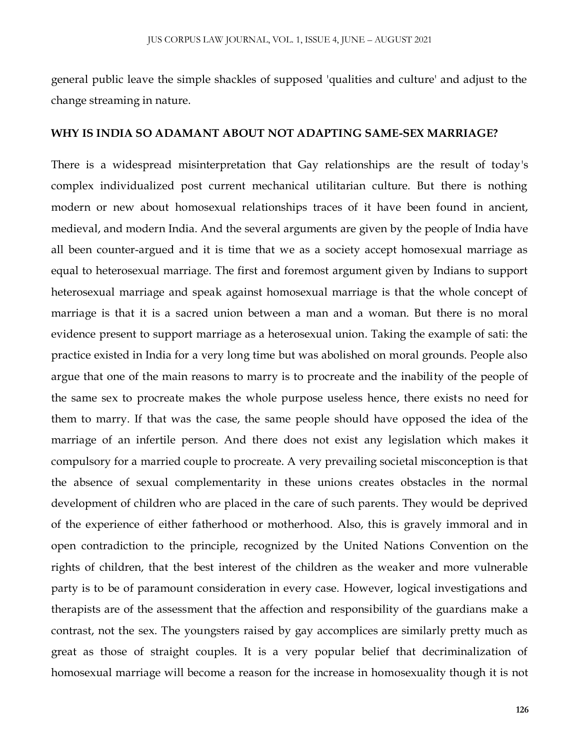general public leave the simple shackles of supposed 'qualities and culture' and adjust to the change streaming in nature.

#### **WHY IS INDIA SO ADAMANT ABOUT NOT ADAPTING SAME-SEX MARRIAGE?**

There is a widespread misinterpretation that Gay relationships are the result of today's complex individualized post current mechanical utilitarian culture. But there is nothing modern or new about homosexual relationships traces of it have been found in ancient, medieval, and modern India. And the several arguments are given by the people of India have all been counter-argued and it is time that we as a society accept homosexual marriage as equal to heterosexual marriage. The first and foremost argument given by Indians to support heterosexual marriage and speak against homosexual marriage is that the whole concept of marriage is that it is a sacred union between a man and a woman. But there is no moral evidence present to support marriage as a heterosexual union. Taking the example of sati: the practice existed in India for a very long time but was abolished on moral grounds. People also argue that one of the main reasons to marry is to procreate and the inability of the people of the same sex to procreate makes the whole purpose useless hence, there exists no need for them to marry. If that was the case, the same people should have opposed the idea of the marriage of an infertile person. And there does not exist any legislation which makes it compulsory for a married couple to procreate. A very prevailing societal misconception is that the absence of sexual complementarity in these unions creates obstacles in the normal development of children who are placed in the care of such parents. They would be deprived of the experience of either fatherhood or motherhood. Also, this is gravely immoral and in open contradiction to the principle, recognized by the United Nations Convention on the rights of children, that the best interest of the children as the weaker and more vulnerable party is to be of paramount consideration in every case. However, logical investigations and therapists are of the assessment that the affection and responsibility of the guardians make a contrast, not the sex. The youngsters raised by gay accomplices are similarly pretty much as great as those of straight couples. It is a very popular belief that decriminalization of homosexual marriage will become a reason for the increase in homosexuality though it is not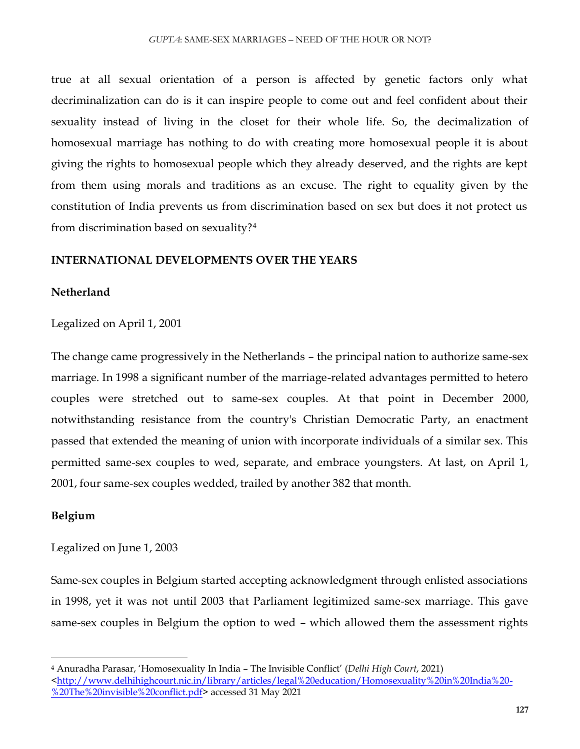true at all sexual orientation of a person is affected by genetic factors only what decriminalization can do is it can inspire people to come out and feel confident about their sexuality instead of living in the closet for their whole life. So, the decimalization of homosexual marriage has nothing to do with creating more homosexual people it is about giving the rights to homosexual people which they already deserved, and the rights are kept from them using morals and traditions as an excuse. The right to equality given by the constitution of India prevents us from discrimination based on sex but does it not protect us from discrimination based on sexuality?<sup>4</sup>

#### **INTERNATIONAL DEVELOPMENTS OVER THE YEARS**

#### **Netherland**

Legalized on April 1, 2001

The change came progressively in the Netherlands – the principal nation to authorize same-sex marriage. In 1998 a significant number of the marriage-related advantages permitted to hetero couples were stretched out to same-sex couples. At that point in December 2000, notwithstanding resistance from the country's Christian Democratic Party, an enactment passed that extended the meaning of union with incorporate individuals of a similar sex. This permitted same-sex couples to wed, separate, and embrace youngsters. At last, on April 1, 2001, four same-sex couples wedded, trailed by another 382 that month.

#### **Belgium**

 $\overline{\phantom{a}}$ 

Legalized on June 1, 2003

Same-sex couples in Belgium started accepting acknowledgment through enlisted associations in 1998, yet it was not until 2003 that Parliament legitimized same-sex marriage. This gave same-sex couples in Belgium the option to wed – which allowed them the assessment rights

<sup>4</sup> Anuradha Parasar, 'Homosexuality In India – The Invisible Conflict' (*Delhi High Court*, 2021)  $\frac{\text{th}}{20}$  / www.delhihighcourt.nic.in/library/articles/legal%20education/Homosexuality%20in%20India%20-[%20The%20invisible%20conflict.pdf>](http://www.delhihighcourt.nic.in/library/articles/legal%20education/Homosexuality%20in%20India%20-%20The%20invisible%20conflict.pdf) accessed 31 May 2021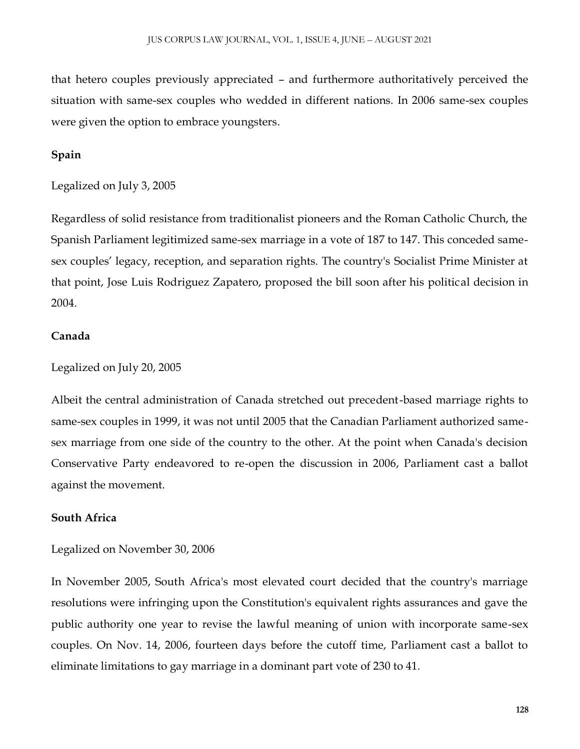that hetero couples previously appreciated – and furthermore authoritatively perceived the situation with same-sex couples who wedded in different nations. In 2006 same-sex couples were given the option to embrace youngsters.

### **Spain**

Legalized on July 3, 2005

Regardless of solid resistance from traditionalist pioneers and the Roman Catholic Church, the Spanish Parliament legitimized same-sex marriage in a vote of 187 to 147. This conceded samesex couples' legacy, reception, and separation rights. The country's Socialist Prime Minister at that point, Jose Luis Rodriguez Zapatero, proposed the bill soon after his political decision in 2004.

#### **Canada**

Legalized on July 20, 2005

Albeit the central administration of Canada stretched out precedent-based marriage rights to same-sex couples in 1999, it was not until 2005 that the Canadian Parliament authorized samesex marriage from one side of the country to the other. At the point when Canada's decision Conservative Party endeavored to re-open the discussion in 2006, Parliament cast a ballot against the movement.

#### **South Africa**

Legalized on November 30, 2006

In November 2005, South Africa's most elevated court decided that the country's marriage resolutions were infringing upon the Constitution's equivalent rights assurances and gave the public authority one year to revise the lawful meaning of union with incorporate same-sex couples. On Nov. 14, 2006, fourteen days before the cutoff time, Parliament cast a ballot to eliminate limitations to gay marriage in a dominant part vote of 230 to 41.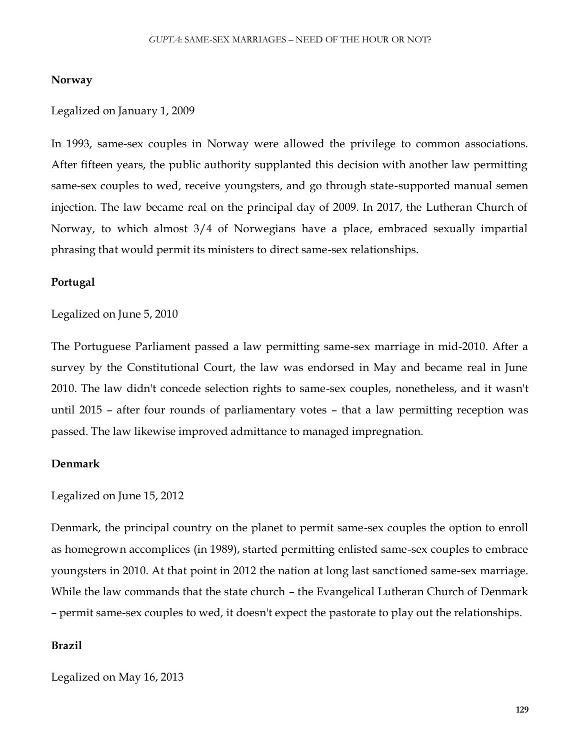#### **Norway**

#### Legalized on January 1, 2009

In 1993, same-sex couples in Norway were allowed the privilege to common associations. After fifteen years, the public authority supplanted this decision with another law permitting same-sex couples to wed, receive youngsters, and go through state-supported manual semen injection. The law became real on the principal day of 2009. In 2017, the Lutheran Church of Norway, to which almost 3/4 of Norwegians have a place, embraced sexually impartial phrasing that would permit its ministers to direct same-sex relationships.

#### **Portugal**

#### Legalized on June 5, 2010

The Portuguese Parliament passed a law permitting same-sex marriage in mid-2010. After a survey by the Constitutional Court, the law was endorsed in May and became real in June 2010. The law didn't concede selection rights to same-sex couples, nonetheless, and it wasn't until 2015 – after four rounds of parliamentary votes – that a law permitting reception was passed. The law likewise improved admittance to managed impregnation.

#### **Denmark**

#### Legalized on June 15, 2012

Denmark, the principal country on the planet to permit same-sex couples the option to enroll as homegrown accomplices (in 1989), started permitting enlisted same-sex couples to embrace youngsters in 2010. At that point in 2012 the nation at long last sanctioned same-sex marriage. While the law commands that the state church – the Evangelical Lutheran Church of Denmark – permit same-sex couples to wed, it doesn't expect the pastorate to play out the relationships.

#### **Brazil**

Legalized on May 16, 2013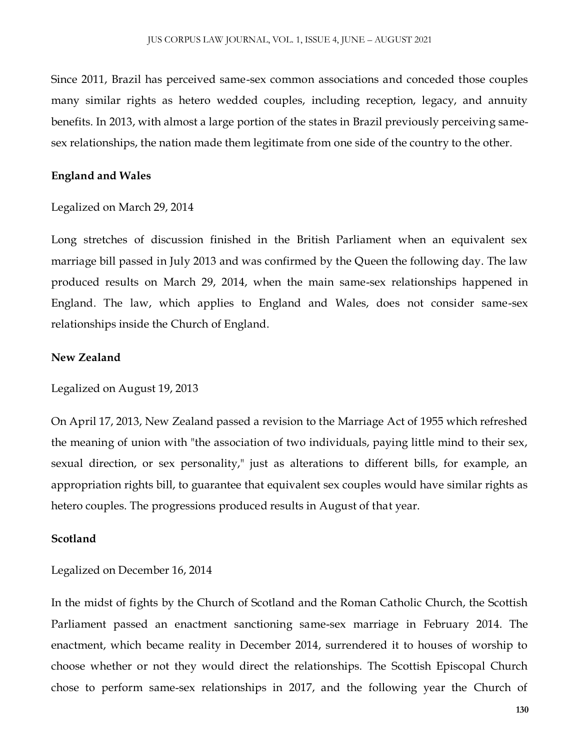Since 2011, Brazil has perceived same-sex common associations and conceded those couples many similar rights as hetero wedded couples, including reception, legacy, and annuity benefits. In 2013, with almost a large portion of the states in Brazil previously perceiving samesex relationships, the nation made them legitimate from one side of the country to the other.

#### **England and Wales**

Legalized on March 29, 2014

Long stretches of discussion finished in the British Parliament when an equivalent sex marriage bill passed in July 2013 and was confirmed by the Queen the following day. The law produced results on March 29, 2014, when the main same-sex relationships happened in England. The law, which applies to England and Wales, does not consider same-sex relationships inside the Church of England.

#### **New Zealand**

Legalized on August 19, 2013

On April 17, 2013, New Zealand passed a revision to the Marriage Act of 1955 which refreshed the meaning of union with "the association of two individuals, paying little mind to their sex, sexual direction, or sex personality," just as alterations to different bills, for example, an appropriation rights bill, to guarantee that equivalent sex couples would have similar rights as hetero couples. The progressions produced results in August of that year.

#### **Scotland**

#### Legalized on December 16, 2014

In the midst of fights by the Church of Scotland and the Roman Catholic Church, the Scottish Parliament passed an enactment sanctioning same-sex marriage in February 2014. The enactment, which became reality in December 2014, surrendered it to houses of worship to choose whether or not they would direct the relationships. The Scottish Episcopal Church chose to perform same-sex relationships in 2017, and the following year the Church of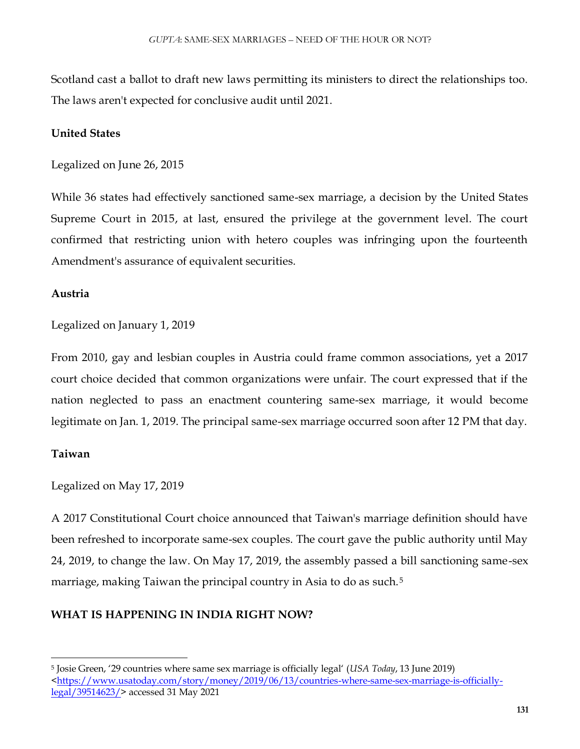Scotland cast a ballot to draft new laws permitting its ministers to direct the relationships too. The laws aren't expected for conclusive audit until 2021.

# **United States**

Legalized on June 26, 2015

While 36 states had effectively sanctioned same-sex marriage, a decision by the United States Supreme Court in 2015, at last, ensured the privilege at the government level. The court confirmed that restricting union with hetero couples was infringing upon the fourteenth Amendment's assurance of equivalent securities.

## **Austria**

Legalized on January 1, 2019

From 2010, gay and lesbian couples in Austria could frame common associations, yet a 2017 court choice decided that common organizations were unfair. The court expressed that if the nation neglected to pass an enactment countering same-sex marriage, it would become legitimate on Jan. 1, 2019. The principal same-sex marriage occurred soon after 12 PM that day.

# **Taiwan**

 $\overline{\phantom{a}}$ 

Legalized on May 17, 2019

A 2017 Constitutional Court choice announced that Taiwan's marriage definition should have been refreshed to incorporate same-sex couples. The court gave the public authority until May 24, 2019, to change the law. On May 17, 2019, the assembly passed a bill sanctioning same-sex marriage, making Taiwan the principal country in Asia to do as such.<sup>5</sup>

# **WHAT IS HAPPENING IN INDIA RIGHT NOW?**

<sup>5</sup> Josie Green, '29 countries where same sex marriage is officially legal' (*USA Today*, 13 June 2019)  $\frac{\text{thttps}}{\text{m}}$  www.usatoday.com/story/money/2019/06/13/countries-where-same-sex-marriage-is-officially[legal/39514623/>](https://www.usatoday.com/story/money/2019/06/13/countries-where-same-sex-marriage-is-officially-legal/39514623/) accessed 31 May 2021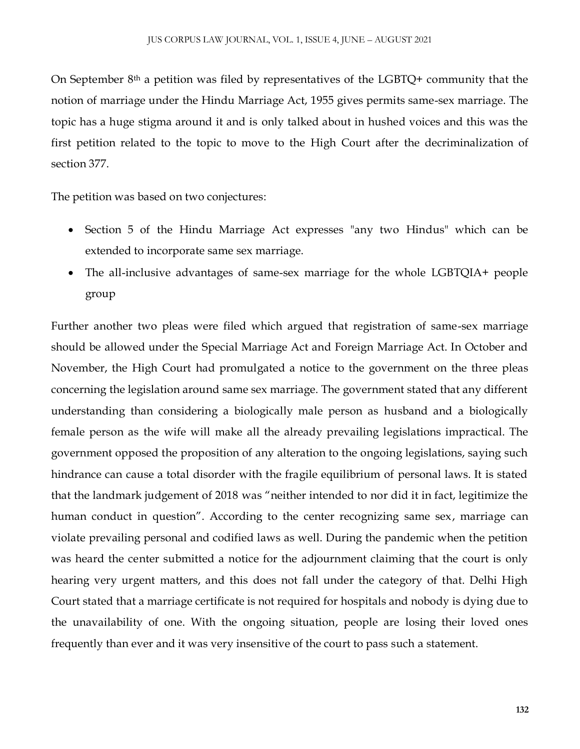On September  $8<sup>th</sup>$  a petition was filed by representatives of the LGBTQ+ community that the notion of marriage under the Hindu Marriage Act, 1955 gives permits same-sex marriage. The topic has a huge stigma around it and is only talked about in hushed voices and this was the first petition related to the topic to move to the High Court after the decriminalization of section 377.

The petition was based on two conjectures:

- Section 5 of the Hindu Marriage Act expresses "any two Hindus" which can be extended to incorporate same sex marriage.
- The all-inclusive advantages of same-sex marriage for the whole LGBTQIA+ people group

Further another two pleas were filed which argued that registration of same-sex marriage should be allowed under the Special Marriage Act and Foreign Marriage Act. In October and November, the High Court had promulgated a notice to the government on the three pleas concerning the legislation around same sex marriage. The government stated that any different understanding than considering a biologically male person as husband and a biologically female person as the wife will make all the already prevailing legislations impractical. The government opposed the proposition of any alteration to the ongoing legislations, saying such hindrance can cause a total disorder with the fragile equilibrium of personal laws. It is stated that the landmark judgement of 2018 was "neither intended to nor did it in fact, legitimize the human conduct in question". According to the center recognizing same sex, marriage can violate prevailing personal and codified laws as well. During the pandemic when the petition was heard the center submitted a notice for the adjournment claiming that the court is only hearing very urgent matters, and this does not fall under the category of that. Delhi High Court stated that a marriage certificate is not required for hospitals and nobody is dying due to the unavailability of one. With the ongoing situation, people are losing their loved ones frequently than ever and it was very insensitive of the court to pass such a statement.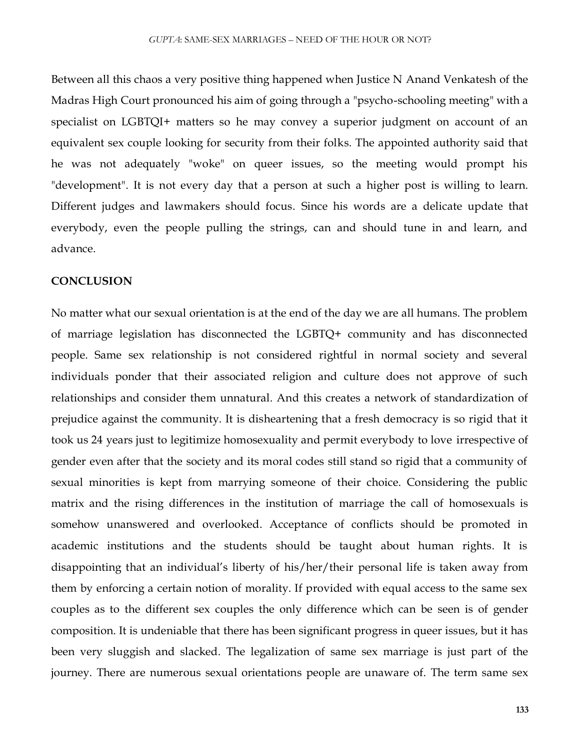Between all this chaos a very positive thing happened when Justice N Anand Venkatesh of the Madras High Court pronounced his aim of going through a "psycho-schooling meeting" with a specialist on LGBTQI+ matters so he may convey a superior judgment on account of an equivalent sex couple looking for security from their folks. The appointed authority said that he was not adequately "woke" on queer issues, so the meeting would prompt his "development". It is not every day that a person at such a higher post is willing to learn. Different judges and lawmakers should focus. Since his words are a delicate update that everybody, even the people pulling the strings, can and should tune in and learn, and advance.

#### **CONCLUSION**

No matter what our sexual orientation is at the end of the day we are all humans. The problem of marriage legislation has disconnected the LGBTQ+ community and has disconnected people. Same sex relationship is not considered rightful in normal society and several individuals ponder that their associated religion and culture does not approve of such relationships and consider them unnatural. And this creates a network of standardization of prejudice against the community. It is disheartening that a fresh democracy is so rigid that it took us 24 years just to legitimize homosexuality and permit everybody to love irrespective of gender even after that the society and its moral codes still stand so rigid that a community of sexual minorities is kept from marrying someone of their choice. Considering the public matrix and the rising differences in the institution of marriage the call of homosexuals is somehow unanswered and overlooked. Acceptance of conflicts should be promoted in academic institutions and the students should be taught about human rights. It is disappointing that an individual's liberty of his/her/their personal life is taken away from them by enforcing a certain notion of morality. If provided with equal access to the same sex couples as to the different sex couples the only difference which can be seen is of gender composition. It is undeniable that there has been significant progress in queer issues, but it has been very sluggish and slacked. The legalization of same sex marriage is just part of the journey. There are numerous sexual orientations people are unaware of. The term same sex